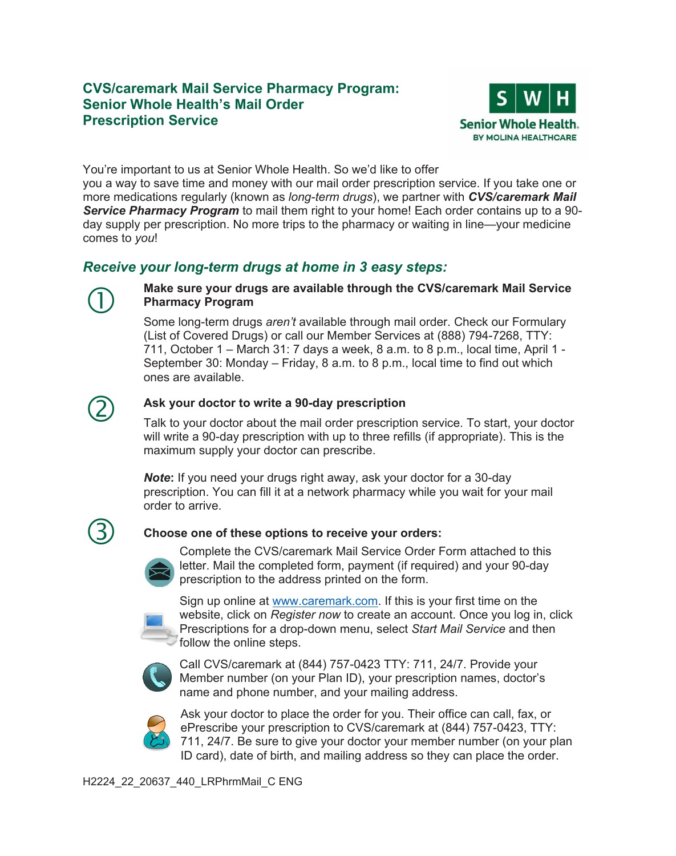## **Senior Whole Health's Mail Order Prescription Service CVS/caremark Mail Service Pharmacy Program:**



You're important to us at Senior Whole Health. So we'd like to offer

you a way to save time and money with our mail order prescription service. If you take one or more medications regularly (known as *long-term drugs*), we partner with *CVS/caremark Mail Service Pharmacy Program* to mail them right to your home! Each order contains up to a 90 day supply per prescription. No more trips to the pharmacy or waiting in line—your medicine comes to *you*!

# *Receive your long-term drugs at home in 3 easy steps:*



### **Make sure your drugs are available through the CVS/caremark Mail Service Pharmacy Program**

Some long-term drugs *aren't* available through mail order. Check our Formulary (List of Covered Drugs) or call our Member Services at (888) 794-7268, TTY: 711, October 1 – March 31: 7 days a week, 8 a.m. to 8 p.m., local time, April 1 - September 30: Monday – Friday, 8 a.m. to 8 p.m., local time to find out which ones are available.



 **Ask your doctor to write a 90-day prescription**  Talk to your doctor about the mail order prescription service. To start, your doctor will write a 90-day prescription with up to three refills (if appropriate). This is the maximum supply your doctor can prescribe.

> *Note***:** If you need your drugs right away, ask your doctor for a 30-day  order to arrive. prescription. You can fill it at a network pharmacy while you wait for your mail



### **Choose one of these options to receive your orders:**



prescription to the address printed on the form. Complete the CVS/caremark Mail Service Order Form attached to this letter. Mail the completed form, payment (if required) and your 90-day



Sign up online at [www.caremark.com.](http://www.caremark.com) If this is your first time on the website, click on *Register now* to create an account. Once you log in, click Prescriptions for a drop-down menu, select *Start Mail Service* and then **follow the online steps.** 



Call CVS/caremark at (844) 757-0423 TTY: 711, 24/7. Provide your Member number (on your Plan ID), your prescription names, doctor's name and phone number, and your mailing address.



 Ask your doctor to place the order for you. Their office can call, fax, or ePrescribe your prescription to CVS/caremark at (844) 757-0423, TTY: 711, 24/7. Be sure to give your doctor your member number (on your plan ID card), date of birth, and mailing address so they can place the order.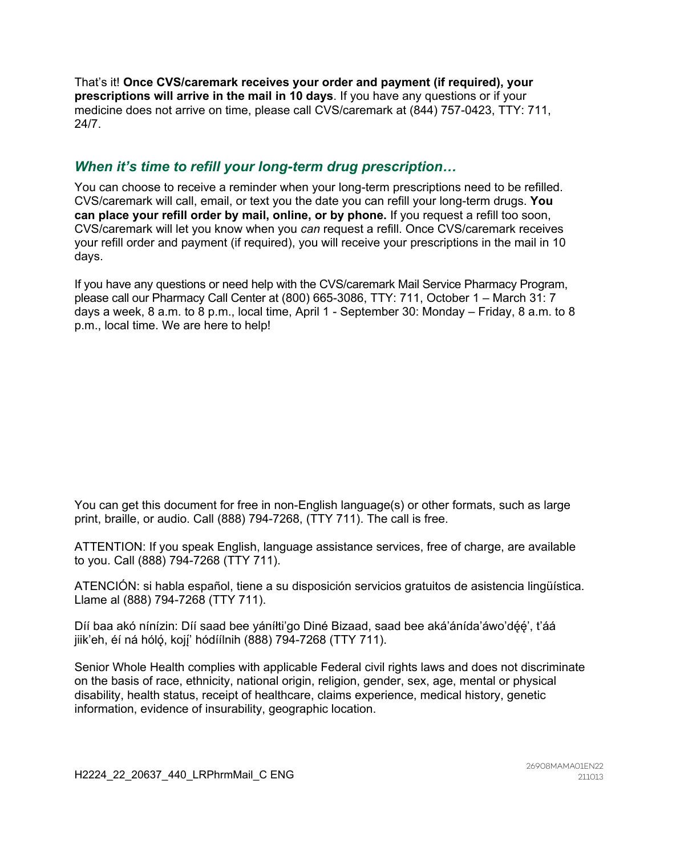That's it! **Once CVS/caremark receives your order and payment (if required), your prescriptions will arrive in the mail in 10 days**. If you have any questions or if your medicine does not arrive on time, please call CVS/caremark at (844) 757-0423, TTY: 711, 24/7.

## *When it's time to refill your long-term drug prescription…*

You can choose to receive a reminder when your long-term prescriptions need to be refilled. CVS/caremark will call, email, or text you the date you can refill your long-term drugs. **You can place your refill order by mail, online, or by phone.** If you request a refill too soon, CVS/caremark will let you know when you *can* request a refill. Once CVS/caremark receives your refill order and payment (if required), you will receive your prescriptions in the mail in 10 days.

If you have any questions or need help with the CVS/caremark Mail Service Pharmacy Program, please call our Pharmacy Call Center at (800) 665-3086, TTY: 711, October 1 – March 31: 7 days a week, 8 a.m. to 8 p.m., local time, April 1 - September 30: Monday – Friday, 8 a.m. to 8 p.m., local time. We are here to help!

You can get this document for free in non-English language(s) or other formats, such as large print, braille, or audio. Call (888) 794-7268, (TTY 711). The call is free.

ATTENTION: If you speak English, language assistance services, free of charge, are available to you. Call (888) 794-7268 (TTY 711).

ATENCIÓN: si habla español, tiene a su disposición servicios gratuitos de asistencia lingüística. Llame al (888) 794-7268 (TTY 711).

Díí baa akó nínízin: Díí saad bee yáníłti'go Diné Bizaad, saad bee aká'ánída'áwo'dę́ę́', t'áá jiik'eh, éí ná hólǫ́, kojį́' hódíílnih (888) 794-7268 (TTY 711).

Senior Whole Health complies with applicable Federal civil rights laws and does not discriminate on the basis of race, ethnicity, national origin, religion, gender, sex, age, mental or physical disability, health status, receipt of healthcare, claims experience, medical history, genetic information, evidence of insurability, geographic location.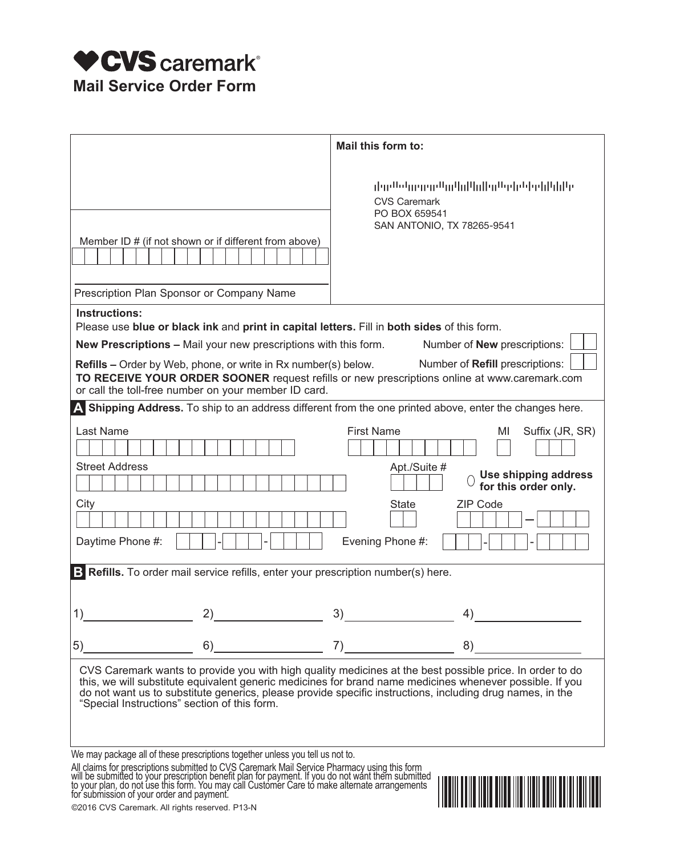

| Mail this form to:                                                                                                                                                                                                                                                                                                                                                                |  |  |
|-----------------------------------------------------------------------------------------------------------------------------------------------------------------------------------------------------------------------------------------------------------------------------------------------------------------------------------------------------------------------------------|--|--|
| <b>CVS Caremark</b><br>PO BOX 659541<br>SAN ANTONIO, TX 78265-9541                                                                                                                                                                                                                                                                                                                |  |  |
| Instructions:<br>Please use blue or black ink and print in capital letters. Fill in both sides of this form.                                                                                                                                                                                                                                                                      |  |  |
| New Prescriptions - Mail your new prescriptions with this form.<br>Number of <b>New</b> prescriptions:                                                                                                                                                                                                                                                                            |  |  |
| <b>Refills</b> – Order by Web, phone, or write in Rx number(s) below.<br>Number of Refill prescriptions:<br>TO RECEIVE YOUR ORDER SOONER request refills or new prescriptions online at www.caremark.com<br>or call the toll-free number on your member ID card.                                                                                                                  |  |  |
| A Shipping Address. To ship to an address different from the one printed above, enter the changes here.                                                                                                                                                                                                                                                                           |  |  |
| <b>First Name</b><br>Suffix (JR, SR)<br>MI<br>Apt./Suite #<br><b>Use shipping address</b>                                                                                                                                                                                                                                                                                         |  |  |
| for this order only.                                                                                                                                                                                                                                                                                                                                                              |  |  |
| <b>ZIP Code</b><br><b>State</b><br>Evening Phone #:                                                                                                                                                                                                                                                                                                                               |  |  |
| <b>B</b> Refills. To order mail service refills, enter your prescription number(s) here.                                                                                                                                                                                                                                                                                          |  |  |
|                                                                                                                                                                                                                                                                                                                                                                                   |  |  |
| 4)                                                                                                                                                                                                                                                                                                                                                                                |  |  |
| 7)<br>8)                                                                                                                                                                                                                                                                                                                                                                          |  |  |
| CVS Caremark wants to provide you with high quality medicines at the best possible price. In order to do<br>this, we will substitute equivalent generic medicines for brand name medicines whenever possible. If you<br>do not want us to substitute generics, please provide specific instructions, including drug names, in the<br>"Special Instructions" section of this form. |  |  |
| We may package all of these prescriptions together unless you tell us not to.                                                                                                                                                                                                                                                                                                     |  |  |
| All claims for prescriptions submitted to CVS Caremark Mail Service Pharmacy using this form<br>will be submitted to your prescription benefit plan for payment. If you do not want them submitted<br>to your plan, do not use this<br>©2016 CVS Caremark. All rights reserved. P13-N                                                                                             |  |  |
|                                                                                                                                                                                                                                                                                                                                                                                   |  |  |